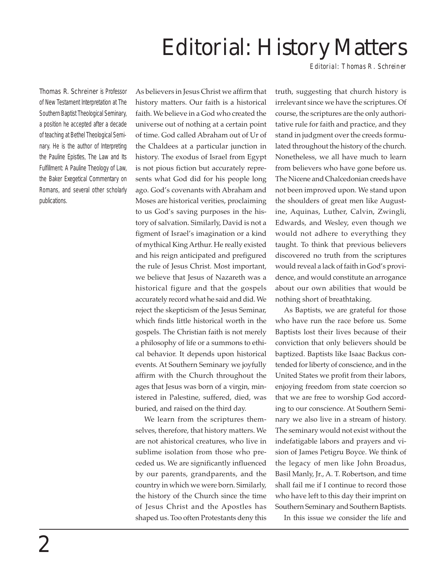## Editorial: History Matters

*Editorial: Thomas R. Schreiner*

Thomas R. Schreiner is Professor of New Testament Interpretation at The Southern Baptist Theological Seminary, a position he accepted after a decade of teaching at Bethel Theological Seminary. He is the author of *Interpreting the Pauline Epistles, The Law and Its Fulfillment: A Pauline Theology of Law,* the Baker Exegetical Commentary on *Romans*, and several other scholarly publications.

As believers in Jesus Christ we affirm that history matters. Our faith is a historical faith. We believe in a God who created the universe out of nothing at a certain point of time. God called Abraham out of Ur of the Chaldees at a particular junction in history. The exodus of Israel from Egypt is not pious fiction but accurately represents what God did for his people long ago. God's covenants with Abraham and Moses are historical verities, proclaiming to us God's saving purposes in the history of salvation. Similarly, David is not a figment of Israel's imagination or a kind of mythical King Arthur. He really existed and his reign anticipated and prefigured the rule of Jesus Christ. Most important, we believe that Jesus of Nazareth was a historical figure and that the gospels accurately record what he said and did. We reject the skepticism of the Jesus Seminar, which finds little historical worth in the gospels. The Christian faith is not merely a philosophy of life or a summons to ethical behavior. It depends upon historical events. At Southern Seminary we joyfully affirm with the Church throughout the ages that Jesus was born of a virgin, ministered in Palestine, suffered, died, was buried, and raised on the third day.

We learn from the scriptures themselves, therefore, that history matters. We are not ahistorical creatures, who live in sublime isolation from those who preceded us. We are significantly influenced by our parents, grandparents, and the country in which we were born. Similarly, the history of the Church since the time of Jesus Christ and the Apostles has shaped us. Too often Protestants deny this truth, suggesting that church history is irrelevant since we have the scriptures. Of course, the scriptures are the only authoritative rule for faith and practice, and they stand in judgment over the creeds formulated throughout the history of the church. Nonetheless, we all have much to learn from believers who have gone before us. The Nicene and Chalcedonian creeds have not been improved upon. We stand upon the shoulders of great men like Augustine, Aquinas, Luther, Calvin, Zwingli, Edwards, and Wesley, even though we would not adhere to everything they taught. To think that previous believers discovered no truth from the scriptures would reveal a lack of faith in God's providence, and would constitute an arrogance about our own abilities that would be nothing short of breathtaking.

As Baptists, we are grateful for those who have run the race before us. Some Baptists lost their lives because of their conviction that only believers should be baptized. Baptists like Isaac Backus contended for liberty of conscience, and in the United States we profit from their labors, enjoying freedom from state coercion so that we are free to worship God according to our conscience. At Southern Seminary we also live in a stream of history. The seminary would not exist without the indefatigable labors and prayers and vision of James Petigru Boyce. We think of the legacy of men like John Broadus, Basil Manly, Jr., A. T. Robertson, and time shall fail me if I continue to record those who have left to this day their imprint on Southern Seminary and Southern Baptists.

In this issue we consider the life and